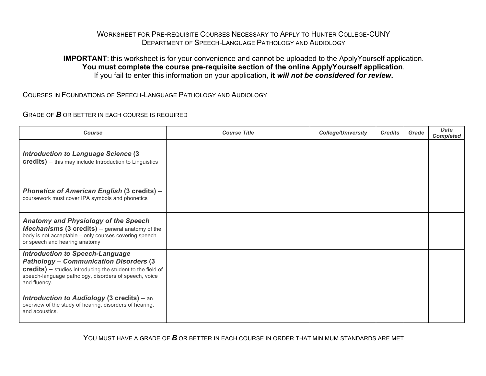## WORKSHEET FOR PRE-REQUISITE COURSES NECESSARY TO APPLY TO HUNTER COLLEGE-CUNY DEPARTMENT OF SPEECH-LANGUAGE PATHOLOGY AND AUDIOLOGY

## **IMPORTANT**: this worksheet is for your convenience and cannot be uploaded to the ApplyYourself application. **You must complete the course pre-requisite section of the online ApplyYourself application**. If you fail to enter this information on your application, **it** *will not be considered for review***.**

COURSES IN FOUNDATIONS OF SPEECH-LANGUAGE PATHOLOGY AND AUDIOLOGY

GRADE OF *B* OR BETTER IN EACH COURSE IS REQUIRED

| Course                                                                                                                                                                                                                          | <b>Course Title</b> | <b>College/University</b> | <b>Credits</b> | Grade | <b>Date</b><br><b>Completed</b> |
|---------------------------------------------------------------------------------------------------------------------------------------------------------------------------------------------------------------------------------|---------------------|---------------------------|----------------|-------|---------------------------------|
| <b>Introduction to Language Science (3)</b><br><b>credits)</b> - this may include Introduction to Linguistics                                                                                                                   |                     |                           |                |       |                                 |
| <b>Phonetics of American English (3 credits) -</b><br>coursework must cover IPA symbols and phonetics                                                                                                                           |                     |                           |                |       |                                 |
| Anatomy and Physiology of the Speech<br><b>Mechanisms (3 credits)</b> $-$ general anatomy of the<br>body is not acceptable - only courses covering speech<br>or speech and hearing anatomy                                      |                     |                           |                |       |                                 |
| <b>Introduction to Speech-Language</b><br><b>Pathology - Communication Disorders (3)</b><br>credits) - studies introducing the student to the field of<br>speech-language pathology, disorders of speech, voice<br>and fluency. |                     |                           |                |       |                                 |
| <b>Introduction to Audiology (3 credits)</b> – an<br>overview of the study of hearing, disorders of hearing,<br>and acoustics.                                                                                                  |                     |                           |                |       |                                 |

YOU MUST HAVE A GRADE OF **B** OR BETTER IN EACH COURSE IN ORDER THAT MINIMUM STANDARDS ARE MET